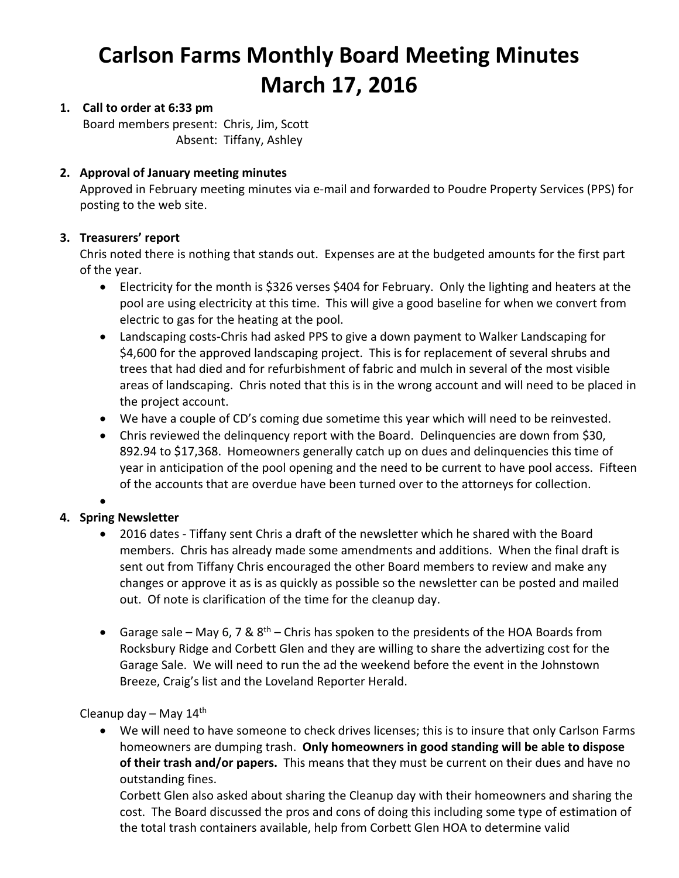# **Carlson Farms Monthly Board Meeting Minutes March 17, 2016**

# **1. Call to order at 6:33 pm**

Board members present: Chris, Jim, Scott Absent: Tiffany, Ashley

## **2. Approval of January meeting minutes**

Approved in February meeting minutes via e‐mail and forwarded to Poudre Property Services (PPS) for posting to the web site.

## **3. Treasurers' report**

Chris noted there is nothing that stands out. Expenses are at the budgeted amounts for the first part of the year.

- Electricity for the month is \$326 verses \$404 for February. Only the lighting and heaters at the pool are using electricity at this time. This will give a good baseline for when we convert from electric to gas for the heating at the pool.
- Landscaping costs-Chris had asked PPS to give a down payment to Walker Landscaping for \$4,600 for the approved landscaping project. This is for replacement of several shrubs and trees that had died and for refurbishment of fabric and mulch in several of the most visible areas of landscaping. Chris noted that this is in the wrong account and will need to be placed in the project account.
- We have a couple of CD's coming due sometime this year which will need to be reinvested.
- Chris reviewed the delinquency report with the Board. Delinquencies are down from \$30, 892.94 to \$17,368. Homeowners generally catch up on dues and delinquencies this time of year in anticipation of the pool opening and the need to be current to have pool access. Fifteen of the accounts that are overdue have been turned over to the attorneys for collection.

 $\bullet$ 

# **4. Spring Newsletter**

- 2016 dates Tiffany sent Chris a draft of the newsletter which he shared with the Board members. Chris has already made some amendments and additions. When the final draft is sent out from Tiffany Chris encouraged the other Board members to review and make any changes or approve it as is as quickly as possible so the newsletter can be posted and mailed out. Of note is clarification of the time for the cleanup day.
- Garage sale May 6, 7 &  $8<sup>th</sup>$  Chris has spoken to the presidents of the HOA Boards from Rocksbury Ridge and Corbett Glen and they are willing to share the advertizing cost for the Garage Sale. We will need to run the ad the weekend before the event in the Johnstown Breeze, Craig's list and the Loveland Reporter Herald.

Cleanup day  $-$  May 14<sup>th</sup>

 We will need to have someone to check drives licenses; this is to insure that only Carlson Farms homeowners are dumping trash. **Only homeowners in good standing will be able to dispose of their trash and/or papers.** This means that they must be current on their dues and have no outstanding fines.

Corbett Glen also asked about sharing the Cleanup day with their homeowners and sharing the cost. The Board discussed the pros and cons of doing this including some type of estimation of the total trash containers available, help from Corbett Glen HOA to determine valid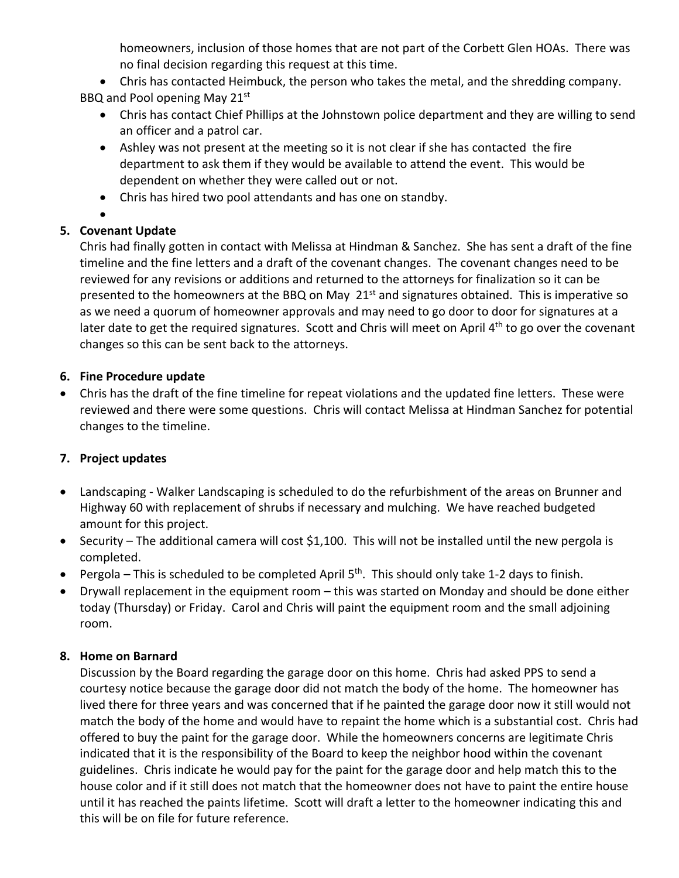homeowners, inclusion of those homes that are not part of the Corbett Glen HOAs. There was no final decision regarding this request at this time.

 Chris has contacted Heimbuck, the person who takes the metal, and the shredding company. BBQ and Pool opening May 21<sup>st</sup>

- Chris has contact Chief Phillips at the Johnstown police department and they are willing to send an officer and a patrol car.
- Ashley was not present at the meeting so it is not clear if she has contacted the fire department to ask them if they would be available to attend the event. This would be dependent on whether they were called out or not.
- Chris has hired two pool attendants and has one on standby.
- $\bullet$

# **5. Covenant Update**

Chris had finally gotten in contact with Melissa at Hindman & Sanchez. She has sent a draft of the fine timeline and the fine letters and a draft of the covenant changes. The covenant changes need to be reviewed for any revisions or additions and returned to the attorneys for finalization so it can be presented to the homeowners at the BBQ on May  $21<sup>st</sup>$  and signatures obtained. This is imperative so as we need a quorum of homeowner approvals and may need to go door to door for signatures at a later date to get the required signatures. Scott and Chris will meet on April 4<sup>th</sup> to go over the covenant changes so this can be sent back to the attorneys.

# **6. Fine Procedure update**

 Chris has the draft of the fine timeline for repeat violations and the updated fine letters. These were reviewed and there were some questions. Chris will contact Melissa at Hindman Sanchez for potential changes to the timeline.

# **7. Project updates**

- Landscaping ‐ Walker Landscaping is scheduled to do the refurbishment of the areas on Brunner and Highway 60 with replacement of shrubs if necessary and mulching. We have reached budgeted amount for this project.
- Security The additional camera will cost \$1,100. This will not be installed until the new pergola is completed.
- Pergola This is scheduled to be completed April  $5<sup>th</sup>$ . This should only take 1-2 days to finish.
- Drywall replacement in the equipment room this was started on Monday and should be done either today (Thursday) or Friday. Carol and Chris will paint the equipment room and the small adjoining room.

# **8. Home on Barnard**

Discussion by the Board regarding the garage door on this home. Chris had asked PPS to send a courtesy notice because the garage door did not match the body of the home. The homeowner has lived there for three years and was concerned that if he painted the garage door now it still would not match the body of the home and would have to repaint the home which is a substantial cost. Chris had offered to buy the paint for the garage door. While the homeowners concerns are legitimate Chris indicated that it is the responsibility of the Board to keep the neighbor hood within the covenant guidelines. Chris indicate he would pay for the paint for the garage door and help match this to the house color and if it still does not match that the homeowner does not have to paint the entire house until it has reached the paints lifetime. Scott will draft a letter to the homeowner indicating this and this will be on file for future reference.